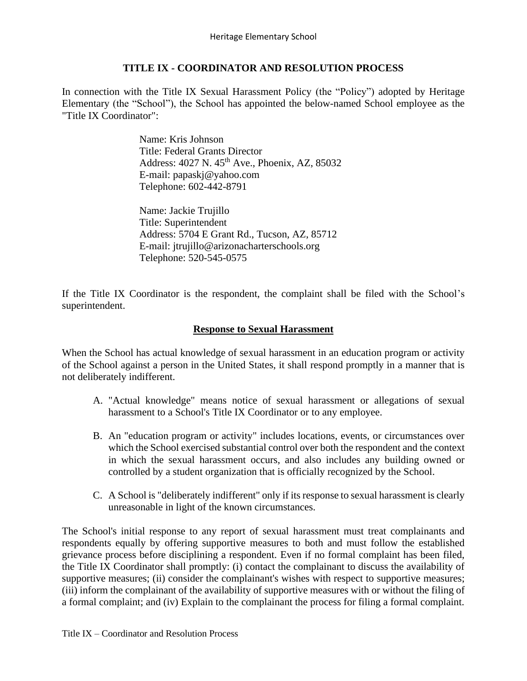# **TITLE IX - COORDINATOR AND RESOLUTION PROCESS**

In connection with the Title IX Sexual Harassment Policy (the "Policy") adopted by Heritage Elementary (the "School"), the School has appointed the below-named School employee as the "Title IX Coordinator":

> Name: Kris Johnson Title: Federal Grants Director Address: 4027 N. 45th Ave., Phoenix, AZ, 85032 E-mail: papaskj@yahoo.com Telephone: 602-442-8791

Name: Jackie Trujillo Title: Superintendent Address: 5704 E Grant Rd., Tucson, AZ, 85712 E-mail: jtrujillo@arizonacharterschools.org Telephone: 520-545-0575

If the Title IX Coordinator is the respondent, the complaint shall be filed with the School's superintendent.

# **Response to Sexual Harassment**

When the School has actual knowledge of sexual harassment in an education program or activity of the School against a person in the United States, it shall respond promptly in a manner that is not deliberately indifferent.

- A. "Actual knowledge" means notice of sexual harassment or allegations of sexual harassment to a School's Title IX Coordinator or to any employee.
- B. An "education program or activity" includes locations, events, or circumstances over which the School exercised substantial control over both the respondent and the context in which the sexual harassment occurs, and also includes any building owned or controlled by a student organization that is officially recognized by the School.
- C. A School is "deliberately indifferent" only if its response to sexual harassment is clearly unreasonable in light of the known circumstances.

The School's initial response to any report of sexual harassment must treat complainants and respondents equally by offering supportive measures to both and must follow the established grievance process before disciplining a respondent. Even if no formal complaint has been filed, the Title IX Coordinator shall promptly: (i) contact the complainant to discuss the availability of supportive measures; (ii) consider the complainant's wishes with respect to supportive measures; (iii) inform the complainant of the availability of supportive measures with or without the filing of a formal complaint; and (iv) Explain to the complainant the process for filing a formal complaint.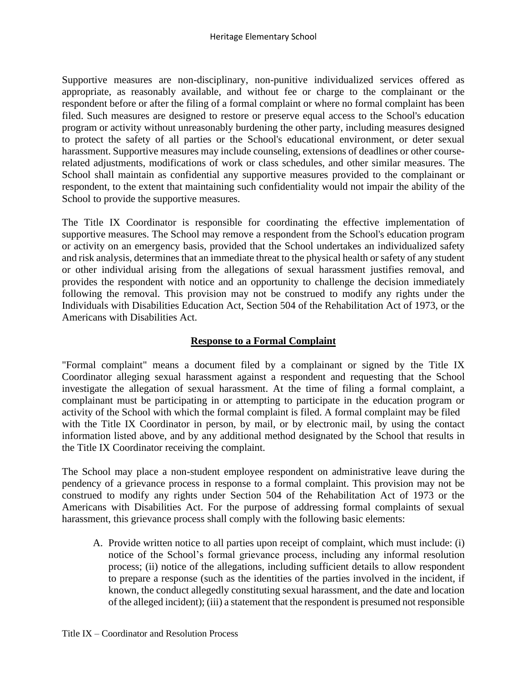Supportive measures are non-disciplinary, non-punitive individualized services offered as appropriate, as reasonably available, and without fee or charge to the complainant or the respondent before or after the filing of a formal complaint or where no formal complaint has been filed. Such measures are designed to restore or preserve equal access to the School's education program or activity without unreasonably burdening the other party, including measures designed to protect the safety of all parties or the School's educational environment, or deter sexual harassment. Supportive measures may include counseling, extensions of deadlines or other courserelated adjustments, modifications of work or class schedules, and other similar measures. The School shall maintain as confidential any supportive measures provided to the complainant or respondent, to the extent that maintaining such confidentiality would not impair the ability of the School to provide the supportive measures.

The Title IX Coordinator is responsible for coordinating the effective implementation of supportive measures. The School may remove a respondent from the School's education program or activity on an emergency basis, provided that the School undertakes an individualized safety and risk analysis, determines that an immediate threat to the physical health or safety of any student or other individual arising from the allegations of sexual harassment justifies removal, and provides the respondent with notice and an opportunity to challenge the decision immediately following the removal. This provision may not be construed to modify any rights under the Individuals with Disabilities Education Act, Section 504 of the Rehabilitation Act of 1973, or the Americans with Disabilities Act.

# **Response to a Formal Complaint**

"Formal complaint" means a document filed by a complainant or signed by the Title IX Coordinator alleging sexual harassment against a respondent and requesting that the School investigate the allegation of sexual harassment. At the time of filing a formal complaint, a complainant must be participating in or attempting to participate in the education program or activity of the School with which the formal complaint is filed. A formal complaint may be filed with the Title IX Coordinator in person, by mail, or by electronic mail, by using the contact information listed above, and by any additional method designated by the School that results in the Title IX Coordinator receiving the complaint.

The School may place a non-student employee respondent on administrative leave during the pendency of a grievance process in response to a formal complaint. This provision may not be construed to modify any rights under Section 504 of the Rehabilitation Act of 1973 or the Americans with Disabilities Act. For the purpose of addressing formal complaints of sexual harassment, this grievance process shall comply with the following basic elements:

A. Provide written notice to all parties upon receipt of complaint, which must include: (i) notice of the School's formal grievance process, including any informal resolution process; (ii) notice of the allegations, including sufficient details to allow respondent to prepare a response (such as the identities of the parties involved in the incident, if known, the conduct allegedly constituting sexual harassment, and the date and location of the alleged incident); (iii) a statement that the respondent is presumed not responsible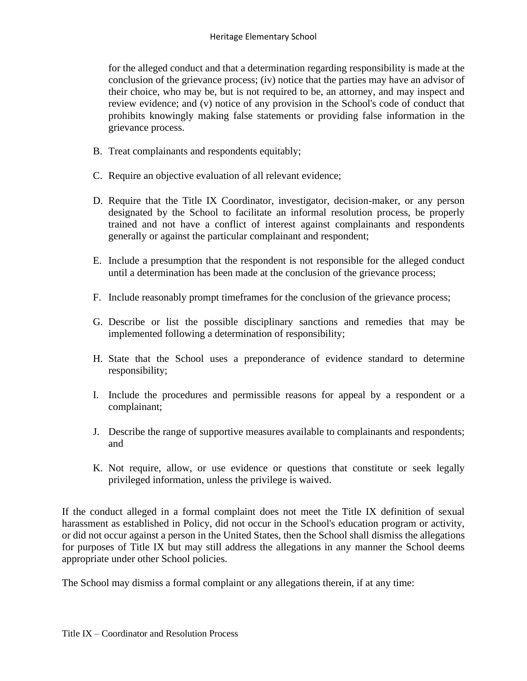for the alleged conduct and that a determination regarding responsibility is made at the conclusion of the grievance process; (iv) notice that the parties may have an advisor of their choice, who may be, but is not required to be, an attorney, and may inspect and review evidence; and (v) notice of any provision in the School's code of conduct that prohibits knowingly making false statements or providing false information in the grievance process.

- B. Treat complainants and respondents equitably;
- C. Require an objective evaluation of all relevant evidence;
- D. Require that the Title IX Coordinator, investigator, decision-maker, or any person designated by the School to facilitate an informal resolution process, be properly trained and not have a conflict of interest against complainants and respondents generally or against the particular complainant and respondent;
- E. Include a presumption that the respondent is not responsible for the alleged conduct until a determination has been made at the conclusion of the grievance process;
- F. Include reasonably prompt timeframes for the conclusion of the grievance process;
- G. Describe or list the possible disciplinary sanctions and remedies that may be implemented following a determination of responsibility;
- H. State that the School uses a preponderance of evidence standard to determine responsibility;
- I. Include the procedures and permissible reasons for appeal by a respondent or a complainant;
- J. Describe the range of supportive measures available to complainants and respondents; and
- K. Not require, allow, or use evidence or questions that constitute or seek legally privileged information, unless the privilege is waived.

If the conduct alleged in a formal complaint does not meet the Title IX definition of sexual harassment as established in Policy, did not occur in the School's education program or activity, or did not occur against a person in the United States, then the School shall dismiss the allegations for purposes of Title IX but may still address the allegations in any manner the School deems appropriate under other School policies.

The School may dismiss a formal complaint or any allegations therein, if at any time: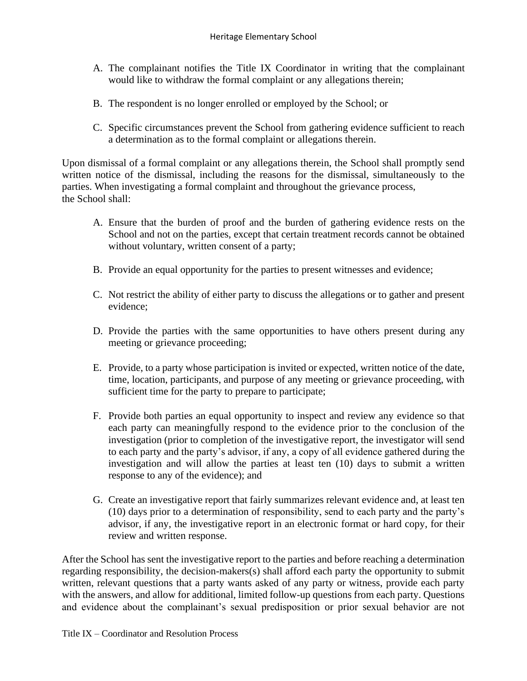- A. The complainant notifies the Title IX Coordinator in writing that the complainant would like to withdraw the formal complaint or any allegations therein;
- B. The respondent is no longer enrolled or employed by the School; or
- C. Specific circumstances prevent the School from gathering evidence sufficient to reach a determination as to the formal complaint or allegations therein.

Upon dismissal of a formal complaint or any allegations therein, the School shall promptly send written notice of the dismissal, including the reasons for the dismissal, simultaneously to the parties. When investigating a formal complaint and throughout the grievance process, the School shall:

- A. Ensure that the burden of proof and the burden of gathering evidence rests on the School and not on the parties, except that certain treatment records cannot be obtained without voluntary, written consent of a party;
- B. Provide an equal opportunity for the parties to present witnesses and evidence;
- C. Not restrict the ability of either party to discuss the allegations or to gather and present evidence;
- D. Provide the parties with the same opportunities to have others present during any meeting or grievance proceeding;
- E. Provide, to a party whose participation is invited or expected, written notice of the date, time, location, participants, and purpose of any meeting or grievance proceeding, with sufficient time for the party to prepare to participate;
- F. Provide both parties an equal opportunity to inspect and review any evidence so that each party can meaningfully respond to the evidence prior to the conclusion of the investigation (prior to completion of the investigative report, the investigator will send to each party and the party's advisor, if any, a copy of all evidence gathered during the investigation and will allow the parties at least ten (10) days to submit a written response to any of the evidence); and
- G. Create an investigative report that fairly summarizes relevant evidence and, at least ten (10) days prior to a determination of responsibility, send to each party and the party's advisor, if any, the investigative report in an electronic format or hard copy, for their review and written response.

After the School has sent the investigative report to the parties and before reaching a determination regarding responsibility, the decision-makers(s) shall afford each party the opportunity to submit written, relevant questions that a party wants asked of any party or witness, provide each party with the answers, and allow for additional, limited follow-up questions from each party. Questions and evidence about the complainant's sexual predisposition or prior sexual behavior are not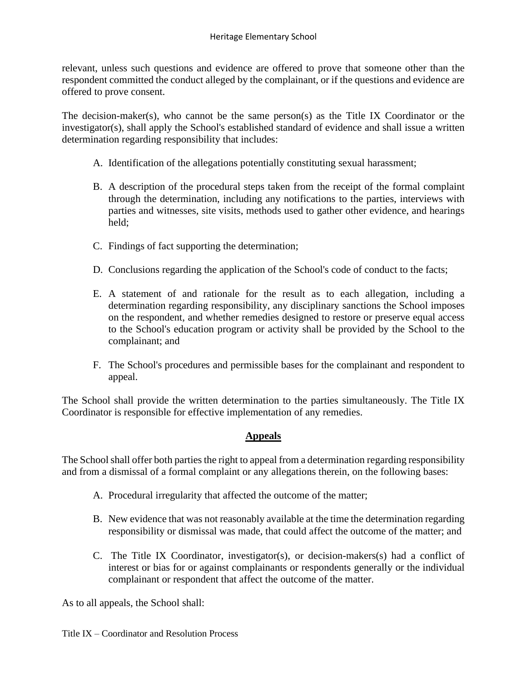relevant, unless such questions and evidence are offered to prove that someone other than the respondent committed the conduct alleged by the complainant, or if the questions and evidence are offered to prove consent.

The decision-maker(s), who cannot be the same person(s) as the Title IX Coordinator or the investigator(s), shall apply the School's established standard of evidence and shall issue a written determination regarding responsibility that includes:

- A. Identification of the allegations potentially constituting sexual harassment;
- B. A description of the procedural steps taken from the receipt of the formal complaint through the determination, including any notifications to the parties, interviews with parties and witnesses, site visits, methods used to gather other evidence, and hearings held;
- C. Findings of fact supporting the determination;
- D. Conclusions regarding the application of the School's code of conduct to the facts;
- E. A statement of and rationale for the result as to each allegation, including a determination regarding responsibility, any disciplinary sanctions the School imposes on the respondent, and whether remedies designed to restore or preserve equal access to the School's education program or activity shall be provided by the School to the complainant; and
- F. The School's procedures and permissible bases for the complainant and respondent to appeal.

The School shall provide the written determination to the parties simultaneously. The Title IX Coordinator is responsible for effective implementation of any remedies.

# **Appeals**

The School shall offer both parties the right to appeal from a determination regarding responsibility and from a dismissal of a formal complaint or any allegations therein, on the following bases:

- A. Procedural irregularity that affected the outcome of the matter;
- B. New evidence that was not reasonably available at the time the determination regarding responsibility or dismissal was made, that could affect the outcome of the matter; and
- C. The Title IX Coordinator, investigator(s), or decision-makers(s) had a conflict of interest or bias for or against complainants or respondents generally or the individual complainant or respondent that affect the outcome of the matter.

As to all appeals, the School shall:

Title IX – Coordinator and Resolution Process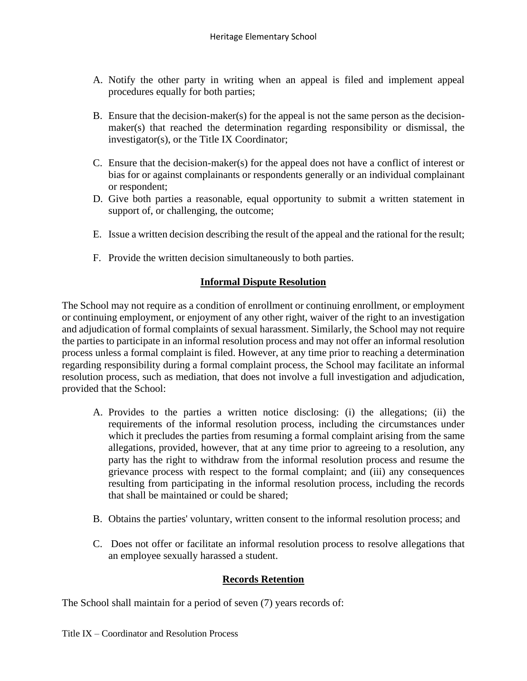- A. Notify the other party in writing when an appeal is filed and implement appeal procedures equally for both parties;
- B. Ensure that the decision-maker(s) for the appeal is not the same person as the decisionmaker(s) that reached the determination regarding responsibility or dismissal, the investigator(s), or the Title IX Coordinator;
- C. Ensure that the decision-maker(s) for the appeal does not have a conflict of interest or bias for or against complainants or respondents generally or an individual complainant or respondent;
- D. Give both parties a reasonable, equal opportunity to submit a written statement in support of, or challenging, the outcome;
- E. Issue a written decision describing the result of the appeal and the rational for the result;
- F. Provide the written decision simultaneously to both parties.

# **Informal Dispute Resolution**

The School may not require as a condition of enrollment or continuing enrollment, or employment or continuing employment, or enjoyment of any other right, waiver of the right to an investigation and adjudication of formal complaints of sexual harassment. Similarly, the School may not require the parties to participate in an informal resolution process and may not offer an informal resolution process unless a formal complaint is filed. However, at any time prior to reaching a determination regarding responsibility during a formal complaint process, the School may facilitate an informal resolution process, such as mediation, that does not involve a full investigation and adjudication, provided that the School:

- A. Provides to the parties a written notice disclosing: (i) the allegations; (ii) the requirements of the informal resolution process, including the circumstances under which it precludes the parties from resuming a formal complaint arising from the same allegations, provided, however, that at any time prior to agreeing to a resolution, any party has the right to withdraw from the informal resolution process and resume the grievance process with respect to the formal complaint; and (iii) any consequences resulting from participating in the informal resolution process, including the records that shall be maintained or could be shared;
- B. Obtains the parties' voluntary, written consent to the informal resolution process; and
- C. Does not offer or facilitate an informal resolution process to resolve allegations that an employee sexually harassed a student.

# **Records Retention**

The School shall maintain for a period of seven (7) years records of: